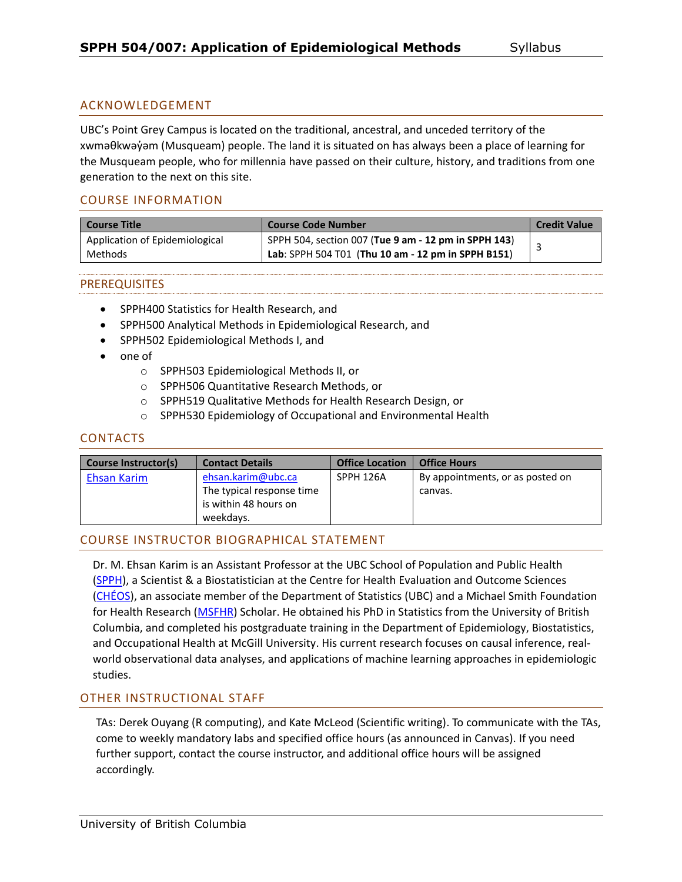### ACKNOWLEDGEMENT

UBC's Point Grey Campus is located on the traditional, ancestral, and unceded territory of the xwməθkwəy̓əm (Musqueam) people. The land it is situated on has always been a place of learning for the Musqueam people, who for millennia have passed on their culture, history, and traditions from one generation to the next on this site.

### COURSE INFORMATION

| <b>Course Title</b>            | Course Code Number                                   | <b>Credit Value</b> |
|--------------------------------|------------------------------------------------------|---------------------|
| Application of Epidemiological | SPPH 504, section 007 (Tue 9 am - 12 pm in SPPH 143) |                     |
| Methods                        | Lab: SPPH 504 T01 (Thu 10 am - 12 pm in SPPH B151)   |                     |

### PREREQUISITES

- SPPH400 Statistics for Health Research, and
- SPPH500 Analytical Methods in Epidemiological Research, and
- SPPH502 Epidemiological Methods I, and
- one of
	- o SPPH503 Epidemiological Methods II, or
	- o SPPH506 Quantitative Research Methods, or
	- o SPPH519 Qualitative Methods for Health Research Design, or
	- o SPPH530 Epidemiology of Occupational and Environmental Health

### CONTACTS

| Course Instructor(s) | <b>Contact Details</b>                                                                | <b>Office Location</b> | <b>Office Hours</b>                         |
|----------------------|---------------------------------------------------------------------------------------|------------------------|---------------------------------------------|
| Ehsan Karim          | ehsan.karim@ubc.ca<br>The typical response time<br>is within 48 hours on<br>weekdavs. | SPPH 126A              | By appointments, or as posted on<br>canvas. |

### COURSE INSTRUCTOR BIOGRAPHICAL STATEMENT

Dr. M. Ehsan Karim is an Assistant Professor at the UBC School of Population and Public Health [\(SPPH\)](https://www.spph.ubc.ca/person/ehsan-karim/), a Scientist & a Biostatistician at the Centre for Health Evaluation and Outcome Sciences [\(CHÉOS\)](http://www.cheos.ubc.ca/people/mohammad-ehsanul-ehsan-karim/), an associate member of the Department of Statistics (UBC) and a Michael Smith Foundation for Health Research [\(MSFHR\)](https://www.msfhr.org/causal-inference-framework-analyzing-large-administrative-healthcare-databases-focus-multiple) Scholar. He obtained his PhD in Statistics from the University of British Columbia, and completed his postgraduate training in the Department of Epidemiology, Biostatistics, and Occupational Health at McGill University. His current research focuses on causal inference, realworld observational data analyses, and applications of machine learning approaches in epidemiologic studies.

### OTHER INSTRUCTIONAL STAFF

TAs: Derek Ouyang (R computing), and Kate McLeod (Scientific writing). To communicate with the TAs, come to weekly mandatory labs and specified office hours (as announced in Canvas). If you need further support, contact the course instructor, and additional office hours will be assigned accordingly.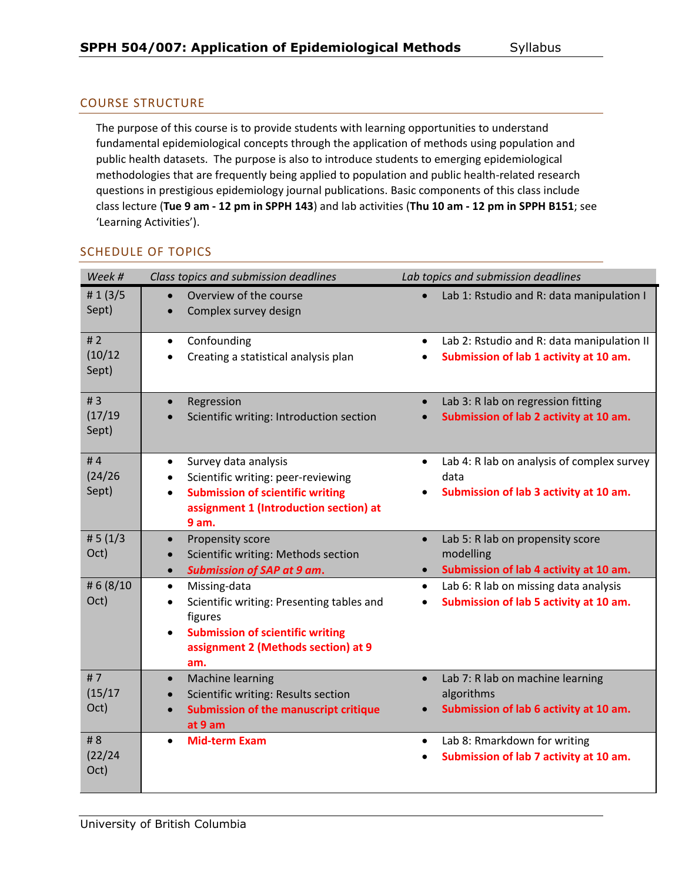# COURSE STRUCTURE

The purpose of this course is to provide students with learning opportunities to understand fundamental epidemiological concepts through the application of methods using population and public health datasets. The purpose is also to introduce students to emerging epidemiological methodologies that are frequently being applied to population and public health-related research questions in prestigious epidemiology journal publications. Basic components of this class include class lecture (**Tue 9 am - 12 pm in SPPH 143**) and lab activities (**Thu 10 am - 12 pm in SPPH B151**; see 'Learning Activities').

|  | <b>SCHEDULE OF TOPICS</b> |  |  |
|--|---------------------------|--|--|
|--|---------------------------|--|--|

| Week #                 | Class topics and submission deadlines                                                                                                                                                                | Lab topics and submission deadlines                                                                                |
|------------------------|------------------------------------------------------------------------------------------------------------------------------------------------------------------------------------------------------|--------------------------------------------------------------------------------------------------------------------|
| # $1(3/5)$<br>Sept)    | Overview of the course<br>$\bullet$<br>Complex survey design                                                                                                                                         | Lab 1: Rstudio and R: data manipulation I<br>$\bullet$                                                             |
| #2<br>(10/12)<br>Sept) | Confounding<br>$\bullet$<br>Creating a statistical analysis plan                                                                                                                                     | Lab 2: Rstudio and R: data manipulation II<br>$\bullet$<br>Submission of lab 1 activity at 10 am.<br>$\bullet$     |
| #3<br>(17/19)<br>Sept) | Regression<br>$\bullet$<br>Scientific writing: Introduction section                                                                                                                                  | Lab 3: R lab on regression fitting<br>$\bullet$<br>Submission of lab 2 activity at 10 am.<br>$\bullet$             |
| #4<br>(24/26)<br>Sept) | Survey data analysis<br>$\bullet$<br>Scientific writing: peer-reviewing<br>$\bullet$<br><b>Submission of scientific writing</b><br>$\bullet$<br>assignment 1 (Introduction section) at<br>9 am.      | Lab 4: R lab on analysis of complex survey<br>$\bullet$<br>data<br>Submission of lab 3 activity at 10 am.<br>٠     |
| # $5(1/3)$<br>Oct)     | Propensity score<br>$\bullet$<br>Scientific writing: Methods section<br>$\bullet$<br><b>Submission of SAP at 9 am.</b><br>$\bullet$                                                                  | Lab 5: R lab on propensity score<br>$\bullet$<br>modelling<br>Submission of lab 4 activity at 10 am.<br>$\bullet$  |
| # 6 (8/10<br>Oct)      | Missing-data<br>$\bullet$<br>Scientific writing: Presenting tables and<br>$\bullet$<br>figures<br><b>Submission of scientific writing</b><br>$\bullet$<br>assignment 2 (Methods section) at 9<br>am. | Lab 6: R lab on missing data analysis<br>$\bullet$<br>Submission of lab 5 activity at 10 am.<br>$\bullet$          |
| #7<br>(15/17)<br>Oct)  | <b>Machine learning</b><br>$\bullet$<br>Scientific writing: Results section<br>$\bullet$<br><b>Submission of the manuscript critique</b><br>$\bullet$<br>at 9 am                                     | Lab 7: R lab on machine learning<br>$\bullet$<br>algorithms<br>Submission of lab 6 activity at 10 am.<br>$\bullet$ |
| #8<br>(22/24)<br>Oct)  | <b>Mid-term Exam</b><br>$\bullet$                                                                                                                                                                    | Lab 8: Rmarkdown for writing<br>$\bullet$<br>Submission of lab 7 activity at 10 am.<br>$\bullet$                   |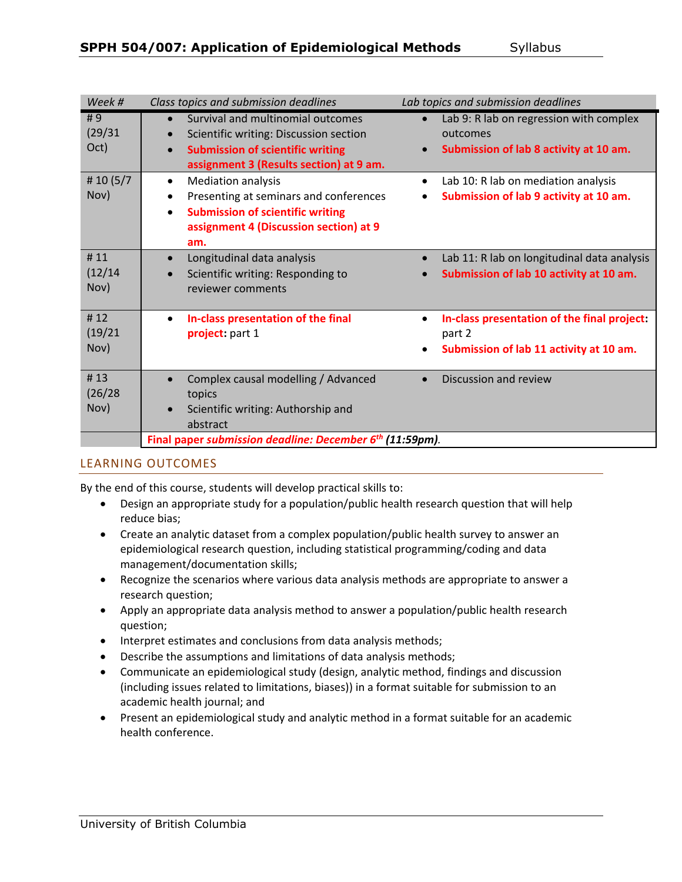| Week #                 | Class topics and submission deadlines                                                                                                                                                                  | Lab topics and submission deadlines                                                                                     |
|------------------------|--------------------------------------------------------------------------------------------------------------------------------------------------------------------------------------------------------|-------------------------------------------------------------------------------------------------------------------------|
| #9<br>(29/31)<br>Oct)  | Survival and multinomial outcomes<br>$\bullet$<br>Scientific writing: Discussion section<br><b>Submission of scientific writing</b><br>$\bullet$<br>assignment 3 (Results section) at 9 am.            | Lab 9: R lab on regression with complex<br>$\bullet$<br>outcomes<br>Submission of lab 8 activity at 10 am.<br>$\bullet$ |
| # 10 $(5/7)$<br>Nov)   | <b>Mediation analysis</b><br>$\bullet$<br>Presenting at seminars and conferences<br>$\bullet$<br><b>Submission of scientific writing</b><br>$\bullet$<br>assignment 4 (Discussion section) at 9<br>am. | Lab 10: R lab on mediation analysis<br>$\bullet$<br>Submission of lab 9 activity at 10 am.<br>$\bullet$                 |
| #11<br>(12/14)<br>Nov) | Longitudinal data analysis<br>$\bullet$<br>Scientific writing: Responding to<br>reviewer comments                                                                                                      | Lab 11: R lab on longitudinal data analysis<br>$\bullet$<br>Submission of lab 10 activity at 10 am.<br>$\bullet$        |
| #12<br>(19/21)<br>Nov) | In-class presentation of the final<br>$\bullet$<br>project: part 1                                                                                                                                     | In-class presentation of the final project:<br>٠<br>part 2<br>Submission of lab 11 activity at 10 am.<br>$\bullet$      |
| #13<br>(26/28)<br>Nov) | Complex causal modelling / Advanced<br>$\bullet$<br>topics<br>Scientific writing: Authorship and<br>abstract                                                                                           | Discussion and review<br>$\bullet$                                                                                      |
|                        | Final paper submission deadline: December 6 <sup>th</sup> (11:59pm).                                                                                                                                   |                                                                                                                         |

### LEARNING OUTCOMES

By the end of this course, students will develop practical skills to:

- Design an appropriate study for a population/public health research question that will help reduce bias;
- Create an analytic dataset from a complex population/public health survey to answer an epidemiological research question, including statistical programming/coding and data management/documentation skills;
- Recognize the scenarios where various data analysis methods are appropriate to answer a research question;
- Apply an appropriate data analysis method to answer a population/public health research question;
- Interpret estimates and conclusions from data analysis methods;
- Describe the assumptions and limitations of data analysis methods;
- Communicate an epidemiological study (design, analytic method, findings and discussion (including issues related to limitations, biases)) in a format suitable for submission to an academic health journal; and
- Present an epidemiological study and analytic method in a format suitable for an academic health conference.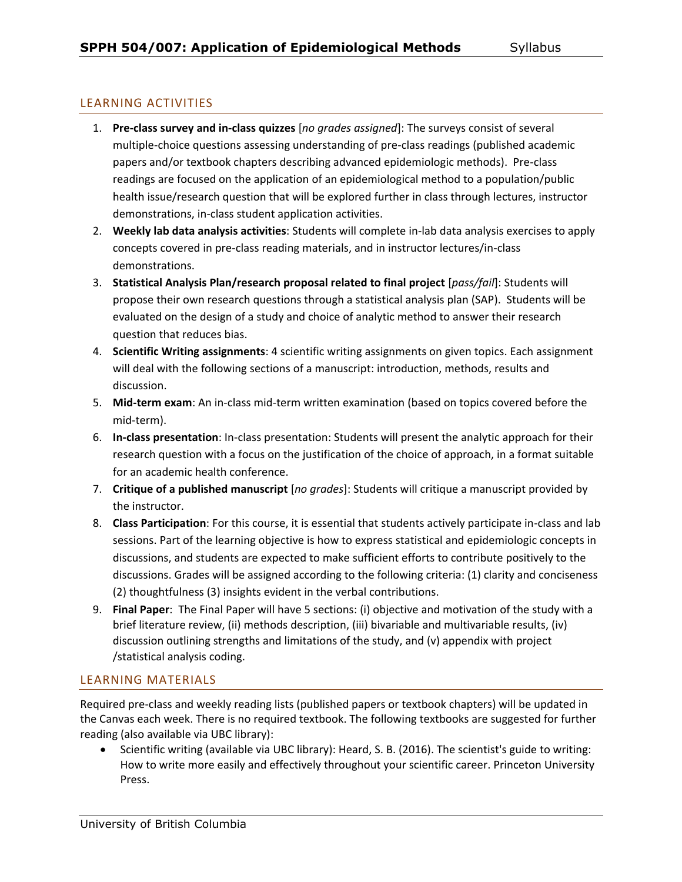## LEARNING ACTIVITIES

- 1. **Pre-class survey and in-class quizzes** [*no grades assigned*]: The surveys consist of several multiple-choice questions assessing understanding of pre-class readings (published academic papers and/or textbook chapters describing advanced epidemiologic methods). Pre-class readings are focused on the application of an epidemiological method to a population/public health issue/research question that will be explored further in class through lectures, instructor demonstrations, in-class student application activities.
- 2. **Weekly lab data analysis activities**: Students will complete in-lab data analysis exercises to apply concepts covered in pre-class reading materials, and in instructor lectures/in-class demonstrations.
- 3. **Statistical Analysis Plan/research proposal related to final project** [*pass/fail*]: Students will propose their own research questions through a statistical analysis plan (SAP). Students will be evaluated on the design of a study and choice of analytic method to answer their research question that reduces bias.
- 4. **Scientific Writing assignments**: 4 scientific writing assignments on given topics. Each assignment will deal with the following sections of a manuscript: introduction, methods, results and discussion.
- 5. **Mid-term exam**: An in-class mid-term written examination (based on topics covered before the mid-term).
- 6. **In-class presentation**: In-class presentation: Students will present the analytic approach for their research question with a focus on the justification of the choice of approach, in a format suitable for an academic health conference.
- 7. **Critique of a published manuscript** [*no grades*]: Students will critique a manuscript provided by the instructor.
- 8. **Class Participation**: For this course, it is essential that students actively participate in-class and lab sessions. Part of the learning objective is how to express statistical and epidemiologic concepts in discussions, and students are expected to make sufficient efforts to contribute positively to the discussions. Grades will be assigned according to the following criteria: (1) clarity and conciseness (2) thoughtfulness (3) insights evident in the verbal contributions.
- 9. **Final Paper**: The Final Paper will have 5 sections: (i) objective and motivation of the study with a brief literature review, (ii) methods description, (iii) bivariable and multivariable results, (iv) discussion outlining strengths and limitations of the study, and (v) appendix with project /statistical analysis coding.

### LEARNING MATERIALS

Required pre-class and weekly reading lists (published papers or textbook chapters) will be updated in the Canvas each week. There is no required textbook. The following textbooks are suggested for further reading (also available via UBC library):

 Scientific writing (available via UBC library): Heard, S. B. (2016). The scientist's guide to writing: How to write more easily and effectively throughout your scientific career. Princeton University Press.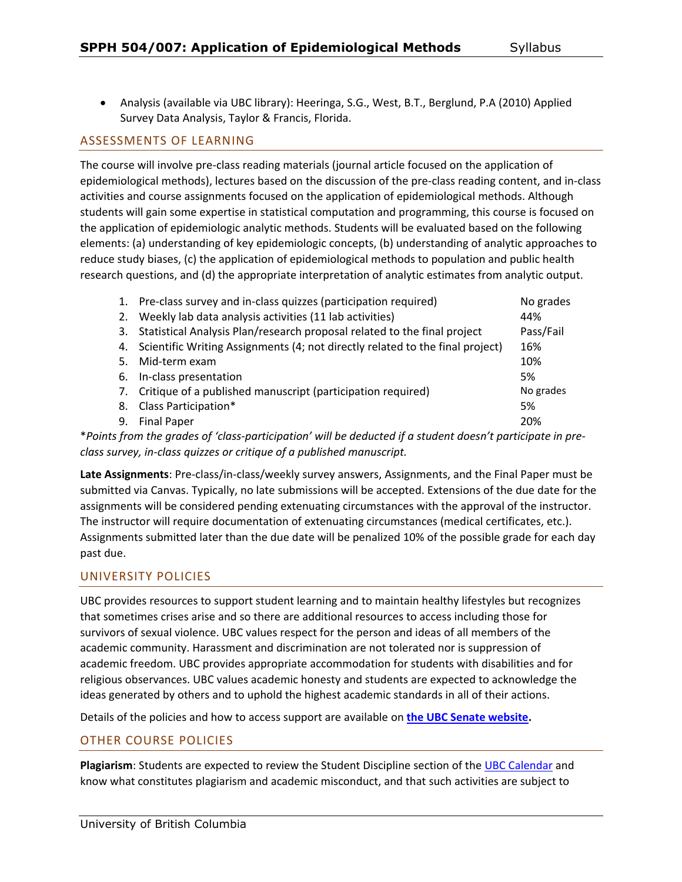Analysis (available via UBC library): Heeringa, S.G., West, B.T., Berglund, P.A (2010) Applied Survey Data Analysis, Taylor & Francis, Florida.

### ASSESSMENTS OF LEARNING

The course will involve pre-class reading materials (journal article focused on the application of epidemiological methods), lectures based on the discussion of the pre-class reading content, and in-class activities and course assignments focused on the application of epidemiological methods. Although students will gain some expertise in statistical computation and programming, this course is focused on the application of epidemiologic analytic methods. Students will be evaluated based on the following elements: (a) understanding of key epidemiologic concepts, (b) understanding of analytic approaches to reduce study biases, (c) the application of epidemiological methods to population and public health research questions, and (d) the appropriate interpretation of analytic estimates from analytic output.

| 1.                                                                                                                     | Pre-class survey and in-class quizzes (participation required)                   | No grades |  |
|------------------------------------------------------------------------------------------------------------------------|----------------------------------------------------------------------------------|-----------|--|
| 2.                                                                                                                     | Weekly lab data analysis activities (11 lab activities)                          | 44%       |  |
|                                                                                                                        | 3. Statistical Analysis Plan/research proposal related to the final project      | Pass/Fail |  |
|                                                                                                                        | 4. Scientific Writing Assignments (4; not directly related to the final project) | 16%       |  |
| .5.                                                                                                                    | Mid-term exam                                                                    | 10%       |  |
| 6.                                                                                                                     | In-class presentation                                                            | 5%        |  |
|                                                                                                                        | 7. Critique of a published manuscript (participation required)                   | No grades |  |
| 8.                                                                                                                     | Class Participation*                                                             | 5%        |  |
| 9.                                                                                                                     | <b>Final Paper</b>                                                               | 20%       |  |
| معرف وعمومات نسمع على ومع ولم عمروا ورباس على اومعون اومام معا الزرن /موتانه وزوز الموسي ومواصل كم معاونون وملع ومرموك |                                                                                  |           |  |

\**Points from the grades of 'class-participation' will be deducted if a student doesn't participate in preclass survey, in-class quizzes or critique of a published manuscript.*

**Late Assignments**: Pre-class/in-class/weekly survey answers, Assignments, and the Final Paper must be submitted via Canvas. Typically, no late submissions will be accepted. Extensions of the due date for the assignments will be considered pending extenuating circumstances with the approval of the instructor. The instructor will require documentation of extenuating circumstances (medical certificates, etc.). Assignments submitted later than the due date will be penalized 10% of the possible grade for each day past due.

### UNIVERSITY POLICIES

UBC provides resources to support student learning and to maintain healthy lifestyles but recognizes that sometimes crises arise and so there are additional resources to access including those for survivors of sexual violence. UBC values respect for the person and ideas of all members of the academic community. Harassment and discrimination are not tolerated nor is suppression of academic freedom. UBC provides appropriate accommodation for students with disabilities and for religious observances. UBC values academic honesty and students are expected to acknowledge the ideas generated by others and to uphold the highest academic standards in all of their actions.

Details of the policies and how to access support are available on **[the UBC Senate website.](https://senate.ubc.ca/policies-resources-support-student-success)**

### OTHER COURSE POLICIES

**Plagiarism**: Students are expected to review the Student Discipline section of the [UBC Calendar](http://www.calendar.ubc.ca/vancouver/index.cfm?tree=3,54,111,959) and know what constitutes plagiarism and academic misconduct, and that such activities are subject to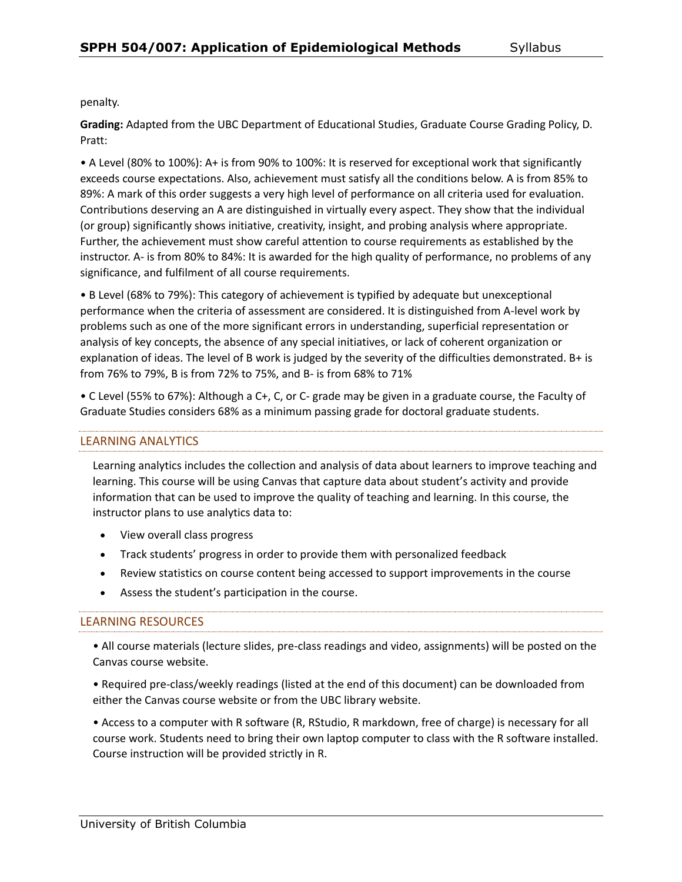penalty.

**Grading:** Adapted from the UBC Department of Educational Studies, Graduate Course Grading Policy, D. Pratt:

• A Level (80% to 100%): A+ is from 90% to 100%: It is reserved for exceptional work that significantly exceeds course expectations. Also, achievement must satisfy all the conditions below. A is from 85% to 89%: A mark of this order suggests a very high level of performance on all criteria used for evaluation. Contributions deserving an A are distinguished in virtually every aspect. They show that the individual (or group) significantly shows initiative, creativity, insight, and probing analysis where appropriate. Further, the achievement must show careful attention to course requirements as established by the instructor. A- is from 80% to 84%: It is awarded for the high quality of performance, no problems of any significance, and fulfilment of all course requirements.

• B Level (68% to 79%): This category of achievement is typified by adequate but unexceptional performance when the criteria of assessment are considered. It is distinguished from A-level work by problems such as one of the more significant errors in understanding, superficial representation or analysis of key concepts, the absence of any special initiatives, or lack of coherent organization or explanation of ideas. The level of B work is judged by the severity of the difficulties demonstrated. B+ is from 76% to 79%, B is from 72% to 75%, and B- is from 68% to 71%

• C Level (55% to 67%): Although a C+, C, or C- grade may be given in a graduate course, the Faculty of Graduate Studies considers 68% as a minimum passing grade for doctoral graduate students.

# LEARNING ANALYTICS

Learning analytics includes the collection and analysis of data about learners to improve teaching and learning. This course will be using Canvas that capture data about student's activity and provide information that can be used to improve the quality of teaching and learning. In this course, the instructor plans to use analytics data to:

- View overall class progress
- Track students' progress in order to provide them with personalized feedback
- Review statistics on course content being accessed to support improvements in the course
- Assess the student's participation in the course.

### LEARNING RESOURCES

• All course materials (lecture slides, pre-class readings and video, assignments) will be posted on the Canvas course website.

• Required pre-class/weekly readings (listed at the end of this document) can be downloaded from either the Canvas course website or from the UBC library website.

• Access to a computer with R software (R, RStudio, R markdown, free of charge) is necessary for all course work. Students need to bring their own laptop computer to class with the R software installed. Course instruction will be provided strictly in R.